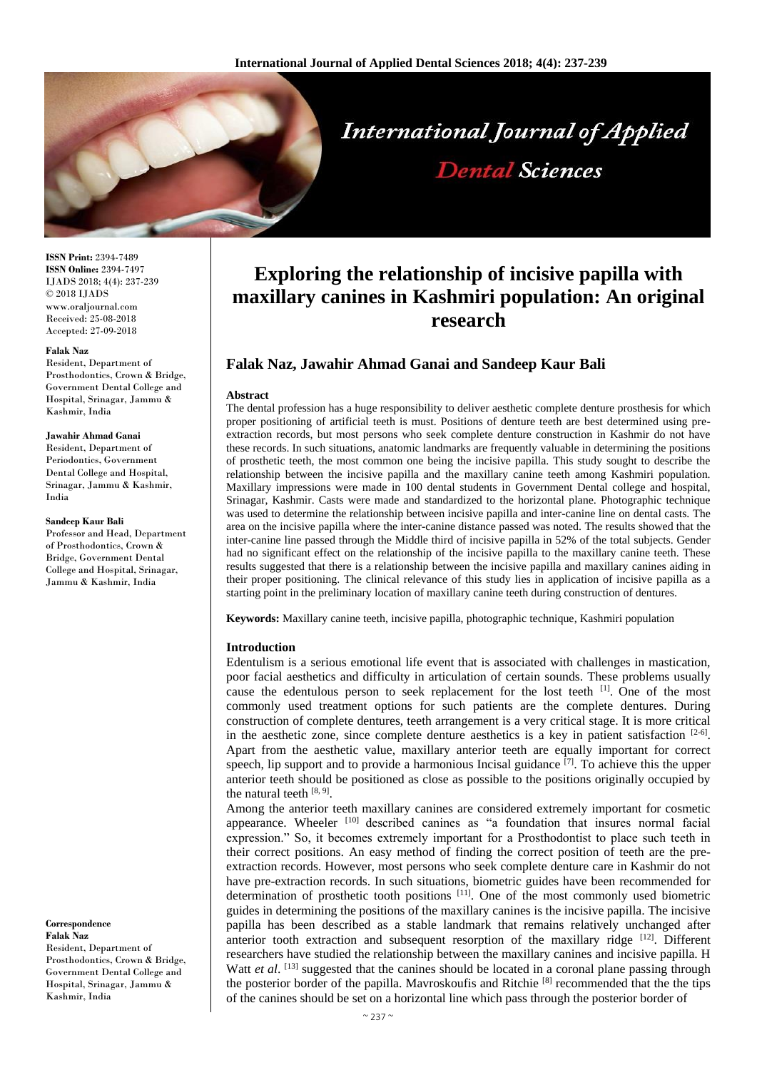

**ISSN Print:** 2394-7489 **ISSN Online:** 2394-7497 IJADS 2018; 4(4): 237-239 © 2018 IJADS www.oraljournal.com Received: 25-08-2018 Accepted: 27-09-2018

#### **Falak Naz**

Resident, Department of Prosthodontics, Crown & Bridge, Government Dental College and Hospital, Srinagar, Jammu & Kashmir, India

#### **Jawahir Ahmad Ganai**

Resident, Department of Periodontics, Government Dental College and Hospital, Srinagar, Jammu & Kashmir, India

#### **Sandeep Kaur Bali**

Professor and Head, Department of Prosthodontics, Crown & Bridge, Government Dental College and Hospital, Srinagar, Jammu & Kashmir, India

**Correspondence Falak Naz** Resident, Department of Prosthodontics, Crown & Bridge, Government Dental College and Hospital, Srinagar, Jammu & Kashmir, India

# **Exploring the relationship of incisive papilla with maxillary canines in Kashmiri population: An original research**

## **Falak Naz, Jawahir Ahmad Ganai and Sandeep Kaur Bali**

#### **Abstract**

The dental profession has a huge responsibility to deliver aesthetic complete denture prosthesis for which proper positioning of artificial teeth is must. Positions of denture teeth are best determined using preextraction records, but most persons who seek complete denture construction in Kashmir do not have these records. In such situations, anatomic landmarks are frequently valuable in determining the positions of prosthetic teeth, the most common one being the incisive papilla. This study sought to describe the relationship between the incisive papilla and the maxillary canine teeth among Kashmiri population. Maxillary impressions were made in 100 dental students in Government Dental college and hospital, Srinagar, Kashmir. Casts were made and standardized to the horizontal plane. Photographic technique was used to determine the relationship between incisive papilla and inter-canine line on dental casts. The area on the incisive papilla where the inter-canine distance passed was noted. The results showed that the inter-canine line passed through the Middle third of incisive papilla in 52% of the total subjects. Gender had no significant effect on the relationship of the incisive papilla to the maxillary canine teeth. These results suggested that there is a relationship between the incisive papilla and maxillary canines aiding in their proper positioning. The clinical relevance of this study lies in application of incisive papilla as a starting point in the preliminary location of maxillary canine teeth during construction of dentures.

**Keywords:** Maxillary canine teeth, incisive papilla, photographic technique, Kashmiri population

#### **Introduction**

Edentulism is a serious emotional life event that is associated with challenges in mastication, poor facial aesthetics and difficulty in articulation of certain sounds. These problems usually cause the edentulous person to seek replacement for the lost teeth <sup>[1]</sup>. One of the most commonly used treatment options for such patients are the complete dentures. During construction of complete dentures, teeth arrangement is a very critical stage. It is more critical in the aesthetic zone, since complete denture aesthetics is a key in patient satisfaction  $[2-6]$ . Apart from the aesthetic value, maxillary anterior teeth are equally important for correct speech, lip support and to provide a harmonious Incisal guidance <sup>[7]</sup>. To achieve this the upper anterior teeth should be positioned as close as possible to the positions originally occupied by the natural teeth [8, 9].

Among the anterior teeth maxillary canines are considered extremely important for cosmetic appearance. Wheeler <sup>[10]</sup> described canines as "a foundation that insures normal facial expression." So, it becomes extremely important for a Prosthodontist to place such teeth in their correct positions. An easy method of finding the correct position of teeth are the preextraction records. However, most persons who seek complete denture care in Kashmir do not have pre-extraction records. In such situations, biometric guides have been recommended for determination of prosthetic tooth positions [11]. One of the most commonly used biometric guides in determining the positions of the maxillary canines is the incisive papilla. The incisive papilla has been described as a stable landmark that remains relatively unchanged after anterior tooth extraction and subsequent resorption of the maxillary ridge  $[12]$ . Different researchers have studied the relationship between the maxillary canines and incisive papilla. H Watt *et al.* <sup>[13]</sup> suggested that the canines should be located in a coronal plane passing through the posterior border of the papilla. Mavroskoufis and Ritchie [8] recommended that the the tips of the canines should be set on a horizontal line which pass through the posterior border of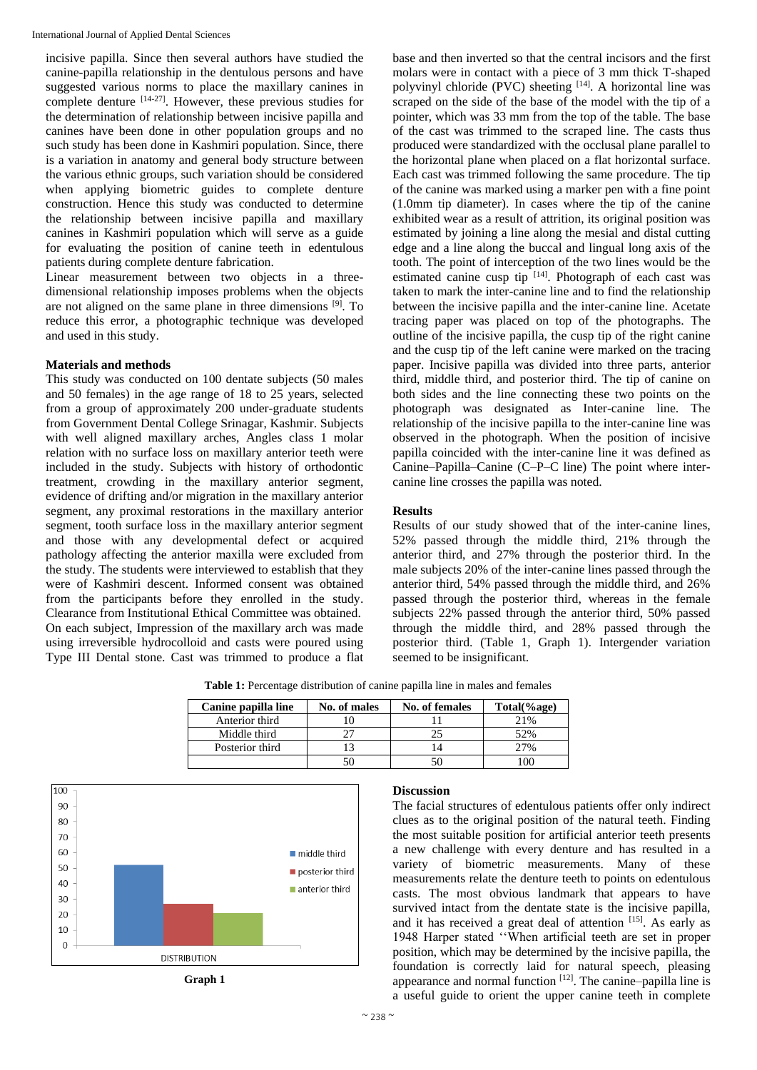incisive papilla. Since then several authors have studied the canine-papilla relationship in the dentulous persons and have suggested various norms to place the maxillary canines in complete denture [14-27] . However, these previous studies for the determination of relationship between incisive papilla and canines have been done in other population groups and no such study has been done in Kashmiri population. Since, there is a variation in anatomy and general body structure between the various ethnic groups, such variation should be considered when applying biometric guides to complete denture construction. Hence this study was conducted to determine the relationship between incisive papilla and maxillary canines in Kashmiri population which will serve as a guide for evaluating the position of canine teeth in edentulous patients during complete denture fabrication.

Linear measurement between two objects in a threedimensional relationship imposes problems when the objects are not aligned on the same plane in three dimensions <sup>[9]</sup>. To reduce this error, a photographic technique was developed and used in this study.

## **Materials and methods**

This study was conducted on 100 dentate subjects (50 males and 50 females) in the age range of 18 to 25 years, selected from a group of approximately 200 under-graduate students from Government Dental College Srinagar, Kashmir. Subjects with well aligned maxillary arches, Angles class 1 molar relation with no surface loss on maxillary anterior teeth were included in the study. Subjects with history of orthodontic treatment, crowding in the maxillary anterior segment, evidence of drifting and/or migration in the maxillary anterior segment, any proximal restorations in the maxillary anterior segment, tooth surface loss in the maxillary anterior segment and those with any developmental defect or acquired pathology affecting the anterior maxilla were excluded from the study. The students were interviewed to establish that they were of Kashmiri descent. Informed consent was obtained from the participants before they enrolled in the study. Clearance from Institutional Ethical Committee was obtained. On each subject, Impression of the maxillary arch was made using irreversible hydrocolloid and casts were poured using Type III Dental stone. Cast was trimmed to produce a flat base and then inverted so that the central incisors and the first molars were in contact with a piece of 3 mm thick T-shaped polyvinyl chloride (PVC) sheeting [14]. A horizontal line was scraped on the side of the base of the model with the tip of a pointer, which was 33 mm from the top of the table. The base of the cast was trimmed to the scraped line. The casts thus produced were standardized with the occlusal plane parallel to the horizontal plane when placed on a flat horizontal surface. Each cast was trimmed following the same procedure. The tip of the canine was marked using a marker pen with a fine point (1.0mm tip diameter). In cases where the tip of the canine exhibited wear as a result of attrition, its original position was estimated by joining a line along the mesial and distal cutting edge and a line along the buccal and lingual long axis of the tooth. The point of interception of the two lines would be the estimated canine cusp tip  $[14]$ . Photograph of each cast was taken to mark the inter-canine line and to find the relationship between the incisive papilla and the inter-canine line. Acetate tracing paper was placed on top of the photographs. The outline of the incisive papilla, the cusp tip of the right canine and the cusp tip of the left canine were marked on the tracing paper. Incisive papilla was divided into three parts, anterior third, middle third, and posterior third. The tip of canine on both sides and the line connecting these two points on the photograph was designated as Inter-canine line. The relationship of the incisive papilla to the inter-canine line was observed in the photograph. When the position of incisive papilla coincided with the inter-canine line it was defined as Canine–Papilla–Canine (C–P–C line) The point where intercanine line crosses the papilla was noted.

## **Results**

Results of our study showed that of the inter-canine lines, 52% passed through the middle third, 21% through the anterior third, and 27% through the posterior third. In the male subjects 20% of the inter-canine lines passed through the anterior third, 54% passed through the middle third, and 26% passed through the posterior third, whereas in the female subjects 22% passed through the anterior third, 50% passed through the middle third, and 28% passed through the posterior third. (Table 1, Graph 1). Intergender variation seemed to be insignificant.

**Table 1:** Percentage distribution of canine papilla line in males and females

| Canine papilla line | No. of males | No. of females | Total(%age) |
|---------------------|--------------|----------------|-------------|
| Anterior third      |              |                | 21%         |
| Middle third        |              |                | 52%         |
| Posterior third     |              |                | 27%         |
|                     | 50           |                | $^{\circ}$  |



**Graph 1**

#### **Discussion**

The facial structures of edentulous patients offer only indirect clues as to the original position of the natural teeth. Finding the most suitable position for artificial anterior teeth presents a new challenge with every denture and has resulted in a variety of biometric measurements. Many of these measurements relate the denture teeth to points on edentulous casts. The most obvious landmark that appears to have survived intact from the dentate state is the incisive papilla, and it has received a great deal of attention [15]. As early as 1948 Harper stated ''When artificial teeth are set in proper position, which may be determined by the incisive papilla, the foundation is correctly laid for natural speech, pleasing appearance and normal function  $[12]$ . The canine–papilla line is a useful guide to orient the upper canine teeth in complete